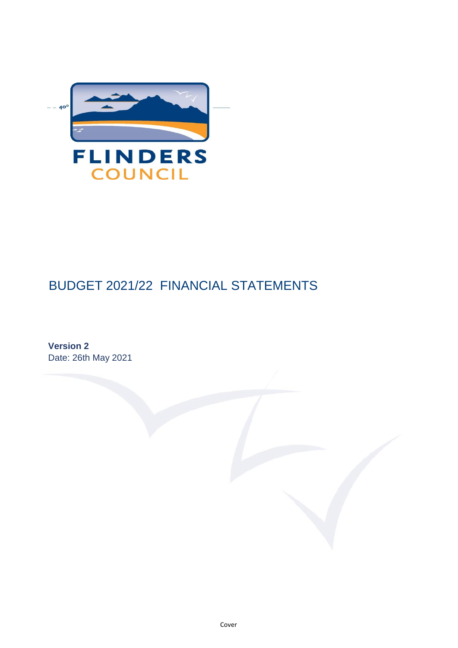

# BUDGET 2021/22 FINANCIAL STATEMENTS

**Version 2** Date: 26th May 2021

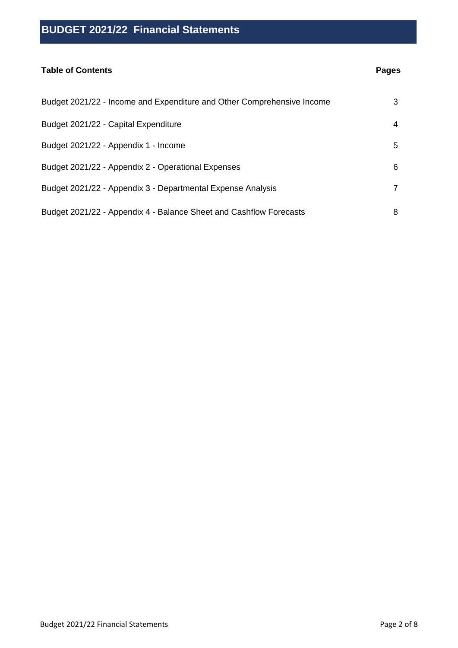#### **Table of Contents**

### **Pages**

| Budget 2021/22 - Income and Expenditure and Other Comprehensive Income | 3            |
|------------------------------------------------------------------------|--------------|
| Budget 2021/22 - Capital Expenditure                                   | 4            |
| Budget 2021/22 - Appendix 1 - Income                                   | 5.           |
| Budget 2021/22 - Appendix 2 - Operational Expenses                     | 6            |
| Budget 2021/22 - Appendix 3 - Departmental Expense Analysis            | $\mathbf{7}$ |
| Budget 2021/22 - Appendix 4 - Balance Sheet and Cashflow Forecasts     | 8            |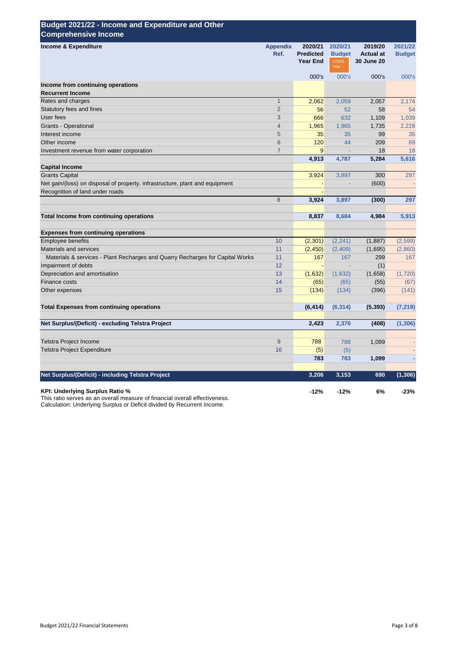| Budget 2021/22 - Income and Expenditure and Other<br><b>Comprehensive Income</b> |                         |                                                |                                           |                                                  |                          |
|----------------------------------------------------------------------------------|-------------------------|------------------------------------------------|-------------------------------------------|--------------------------------------------------|--------------------------|
| Income & Expenditure                                                             | <b>Appendix</b><br>Ref. | 2020/21<br><b>Predicted</b><br><b>Year End</b> | 2020/21<br><b>Budget</b><br>COVID<br>Year | 2019/20<br><b>Actual at</b><br><b>30 June 20</b> | 2021/22<br><b>Budget</b> |
|                                                                                  |                         | 000's                                          | 000's                                     | 000's                                            | 000's                    |
| Income from continuing operations                                                |                         |                                                |                                           |                                                  |                          |
| <b>Recurrent Income</b>                                                          |                         |                                                |                                           |                                                  |                          |
| Rates and charges                                                                | $\overline{1}$          | 2,062                                          | 2,059                                     | 2,057                                            | 2,174                    |
| Statutory fees and fines                                                         | $\overline{2}$          | 56                                             | 52                                        | 58                                               | 54                       |
| User fees                                                                        | 3                       | 666                                            | 632                                       | 1,109                                            | 1,039                    |
| Grants - Operational                                                             | $\overline{4}$          | 1,965                                          | 1,965                                     | 1,735                                            | 2,228                    |
| Interest income                                                                  | 5                       | 35                                             | 35                                        | 99                                               | 35                       |
| Other income                                                                     | $6\phantom{1}$          | 120                                            | 44                                        | 209                                              | 69                       |
| Investment revenue from water corporation                                        | $\overline{7}$          | 9                                              |                                           | 18                                               | 18                       |
|                                                                                  |                         | 4,913                                          | 4,787                                     | 5,284                                            | 5,616                    |
| <b>Capital Income</b>                                                            |                         |                                                |                                           |                                                  |                          |
| <b>Grants Capital</b>                                                            |                         | 3,924                                          | 3,897                                     | 300                                              | 297                      |
| Net gain/(loss) on disposal of property, infrastructure, plant and equipment     |                         |                                                |                                           | (600)                                            |                          |
| Recognition of land under roads                                                  |                         |                                                |                                           |                                                  |                          |
|                                                                                  | 8                       | 3,924                                          | 3,897                                     | (300)                                            | 297                      |
| Total Income from continuing operations                                          |                         | 8,837                                          | 8,684                                     | 4,984                                            | 5,913                    |
| <b>Expenses from continuing operations</b>                                       |                         |                                                |                                           |                                                  |                          |
| <b>Employee benefits</b>                                                         | 10                      | (2,301)                                        | (2, 241)                                  | (1,887)                                          | (2,599)                  |
| Materials and services                                                           | 11                      | (2, 450)                                       | (2,409)                                   | (1,695)                                          | (2,860)                  |
| Materials & services - Plant Recharges and Quarry Recharges for Capital Works    | 11                      | 167                                            | 167                                       | 299                                              | 167                      |
| Impairment of debts                                                              | 12                      |                                                |                                           | (1)                                              |                          |
| Depreciation and amortisation                                                    | 13                      | (1,632)                                        | (1,632)                                   | (1,658)                                          | (1,720)                  |
| Finance costs                                                                    | 14                      | (65)                                           | (65)                                      | (55)                                             | (67)                     |
| Other expenses                                                                   | 15                      | (134)                                          | (134)                                     | (396)                                            | (141)                    |
| <b>Total Expenses from continuing operations</b>                                 |                         | (6, 414)                                       | (6, 314)                                  | (5, 393)                                         | (7, 219)                 |
| Net Surplus/(Deficit) - excluding Telstra Project                                |                         | 2,423                                          | 2,370                                     | (408)                                            | (1, 306)                 |
| <b>Telstra Project Income</b>                                                    | 9                       | 788                                            | 788                                       | 1,099                                            |                          |
| Telstra Project Expenditure                                                      | 16                      | (5)                                            | (5)                                       |                                                  |                          |
|                                                                                  |                         | 783                                            | 783                                       | 1,099                                            |                          |
| Net Surplus/(Deficit) - including Telstra Project                                |                         | 3,206                                          |                                           | 690                                              | (1, 306)                 |
|                                                                                  |                         |                                                | 3,153                                     |                                                  |                          |
| KPI: Underlying Surplus Ratio %                                                  |                         | $-12%$                                         | $-12%$                                    | 6%                                               | $-23%$                   |

This ratio serves as an overall measure of financial overall effectiveness. Calculation: Underlying Surplus or Deficit divided by Recurrent Income.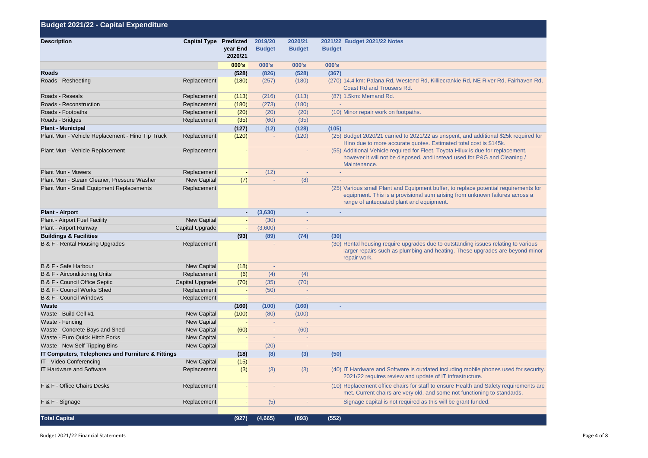| Budget 2021/22 - Capital Expenditure              |                        |                          |                          |                          |                                                                                                                                                                                                                 |
|---------------------------------------------------|------------------------|--------------------------|--------------------------|--------------------------|-----------------------------------------------------------------------------------------------------------------------------------------------------------------------------------------------------------------|
| <b>Description</b>                                | Capital Type Predicted | year End<br>2020/21      | 2019/20<br><b>Budget</b> | 2020/21<br><b>Budget</b> | 2021/22 Budget 2021/22 Notes<br><b>Budget</b>                                                                                                                                                                   |
|                                                   |                        | 000's                    | 000's                    | 000's                    | 000's                                                                                                                                                                                                           |
| Roads                                             |                        | (528)                    | (826)                    | (528)                    | (367)                                                                                                                                                                                                           |
| Roads - Resheeting                                | Replacement            | (180)                    | (257)                    | (180)                    | (270) 14.4 km: Palana Rd, Westend Rd, Killiecrankie Rd, NE River Rd, Fairhaven Rd,<br><b>Coast Rd and Trousers Rd.</b>                                                                                          |
| Roads - Reseals                                   | Replacement            | (113)                    | (216)                    | (113)                    | (87) 1.5km: Memand Rd.                                                                                                                                                                                          |
| Roads - Reconstruction                            | Replacement            | (180)                    | (273)                    | (180)                    |                                                                                                                                                                                                                 |
| Roads - Footpaths                                 | Replacement            | (20)                     | (20)                     | (20)                     | (10) Minor repair work on footpaths.                                                                                                                                                                            |
| Roads - Bridges                                   | Replacement            | (35)                     | (60)                     | (35)                     |                                                                                                                                                                                                                 |
| <b>Plant - Municipal</b>                          |                        | (127)                    | (12)                     | (128)                    | (105)                                                                                                                                                                                                           |
| Plant Mun - Vehicle Replacement - Hino Tip Truck  | Replacement            | (120)                    | $\sim$                   | (120)                    | (25) Budget 2020/21 carried to 2021/22 as unspent, and additional \$25k required for<br>Hino due to more accurate quotes. Estimated total cost is \$145k.                                                       |
| Plant Mun - Vehicle Replacement                   | Replacement            |                          |                          | $\blacksquare$           | (55) Additional Vehicle required for Fleet. Toyota Hilux is due for replacement,<br>however it will not be disposed, and instead used for P&G and Cleaning /<br>Maintenance.                                    |
| Plant Mun - Mowers                                | Replacement            | $\overline{\phantom{a}}$ | (12)                     | $\overline{\phantom{a}}$ | $\sim$                                                                                                                                                                                                          |
| Plant Mun - Steam Cleaner, Pressure Washer        | New Capital            | (7)                      | $\overline{\phantom{a}}$ | (8)                      |                                                                                                                                                                                                                 |
| Plant Mun - Small Equipment Replacements          | Replacement            |                          |                          |                          | (25) Various small Plant and Equipment buffer, to replace potential requirements for<br>equipment. This is a provisional sum arising from unknown failures across a<br>range of antequated plant and equipment. |
| <b>Plant - Airport</b>                            |                        | ٠                        | (3,630)                  |                          |                                                                                                                                                                                                                 |
| Plant - Airport Fuel Facility                     | <b>New Capital</b>     | $\overline{\phantom{a}}$ | (30)                     |                          |                                                                                                                                                                                                                 |
| Plant - Airport Runway                            | Capital Upgrade        | $\overline{\phantom{a}}$ | (3,600)                  | $\overline{\phantom{a}}$ |                                                                                                                                                                                                                 |
| <b>Buildings &amp; Facilities</b>                 |                        | (93)                     | (89)                     | (74)                     | (30)                                                                                                                                                                                                            |
| B & F - Rental Housing Upgrades                   | Replacement            |                          |                          |                          | (30) Rental housing require upgrades due to outstanding issues relating to various<br>larger repairs such as plumbing and heating. These upgrades are beyond minor<br>repair work.                              |
| B & F - Safe Harbour                              | <b>New Capital</b>     | (18)                     | $\overline{\phantom{a}}$ |                          |                                                                                                                                                                                                                 |
| B & F - Airconditioning Units                     | Replacement            | (6)                      | (4)                      | (4)                      |                                                                                                                                                                                                                 |
| B & F - Council Office Septic                     | Capital Upgrade        | (70)                     | (35)                     | (70)                     |                                                                                                                                                                                                                 |
| B & F - Council Works Shed                        | Replacement            | $\overline{\phantom{a}}$ | (50)                     | $\overline{a}$           |                                                                                                                                                                                                                 |
| B & F - Council Windows                           | Replacement            |                          |                          |                          |                                                                                                                                                                                                                 |
| Waste                                             |                        | (160)                    | (100)                    | (160)                    | ٠                                                                                                                                                                                                               |
| Waste - Build Cell #1                             | New Capital            | (100)                    | (80)                     | (100)                    |                                                                                                                                                                                                                 |
| Waste - Fencing                                   | New Capital            | $\overline{\phantom{a}}$ | $\sim$                   | $\overline{\phantom{a}}$ |                                                                                                                                                                                                                 |
| Waste - Concrete Bays and Shed                    | New Capital            | (60)                     | $\overline{\phantom{a}}$ | (60)                     |                                                                                                                                                                                                                 |
| Waste - Euro Quick Hitch Forks                    | New Capital            | $\overline{\phantom{a}}$ | $\overline{\phantom{a}}$ | ÷                        |                                                                                                                                                                                                                 |
| Waste - New Self-Tipping Bins                     | New Capital            | $\overline{\phantom{a}}$ | (20)                     | $\overline{\phantom{a}}$ |                                                                                                                                                                                                                 |
| IT Computers, Telephones and Furniture & Fittings |                        | (18)                     | (8)                      | (3)                      | (50)                                                                                                                                                                                                            |
| IT - Video Conferencing                           | <b>New Capital</b>     | (15)                     |                          |                          |                                                                                                                                                                                                                 |
| <b>IT Hardware and Software</b>                   | Replacement            | (3)                      | (3)                      | (3)                      | (40) IT Hardware and Software is outdated including mobile phones used for security.<br>2021/22 requires review and update of IT infrastructure.                                                                |
| F & F - Office Chairs Desks                       | Replacement            | $\overline{\phantom{a}}$ |                          |                          | (10) Replacement office chairs for staff to ensure Health and Safety requirements are<br>met. Current chairs are very old, and some not functioning to standards.                                               |
| F & F - Signage                                   | Replacement            | ٠                        | (5)                      |                          | Signage capital is not required as this will be grant funded.                                                                                                                                                   |
| <b>Total Capital</b>                              |                        | (927)                    | (4,665)                  | (893)                    | (552)                                                                                                                                                                                                           |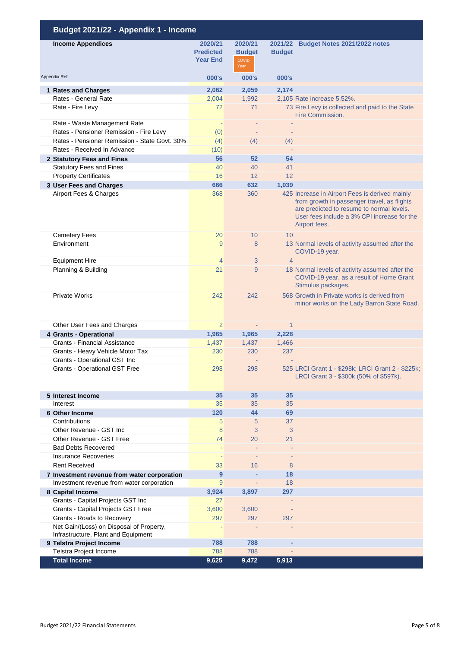| Budget 2021/22 - Appendix 1 - Income                                            |                                                |                                                  |                          |                                                                                                                                                                                                            |
|---------------------------------------------------------------------------------|------------------------------------------------|--------------------------------------------------|--------------------------|------------------------------------------------------------------------------------------------------------------------------------------------------------------------------------------------------------|
| <b>Income Appendices</b>                                                        | 2020/21<br><b>Predicted</b><br><b>Year End</b> | 2020/21<br><b>Budget</b><br><b>COVID</b><br>Year | 2021/22<br><b>Budget</b> | <b>Budget Notes 2021/2022 notes</b>                                                                                                                                                                        |
| Appendix Ref.                                                                   | 000's                                          | 000's                                            | 000's                    |                                                                                                                                                                                                            |
| 1 Rates and Charges                                                             | 2,062                                          | 2,059                                            | 2,174                    |                                                                                                                                                                                                            |
| Rates - General Rate                                                            | 2,004                                          | 1,992                                            |                          | 2,105 Rate increase 5.52%.                                                                                                                                                                                 |
| Rate - Fire Levy                                                                | 72                                             | 71                                               |                          | 73 Fire Levy is collected and paid to the State<br>Fire Commission.                                                                                                                                        |
| Rate - Waste Management Rate                                                    |                                                |                                                  |                          |                                                                                                                                                                                                            |
| Rates - Pensioner Remission - Fire Levy                                         | (0)                                            |                                                  |                          |                                                                                                                                                                                                            |
| Rates - Pensioner Remission - State Govt. 30%                                   | (4)                                            | (4)                                              | (4)                      |                                                                                                                                                                                                            |
| Rates - Received In Advance                                                     | (10)                                           |                                                  |                          |                                                                                                                                                                                                            |
| 2 Statutory Fees and Fines                                                      | 56                                             | 52                                               | 54                       |                                                                                                                                                                                                            |
| <b>Statutory Fees and Fines</b>                                                 | 40                                             | 40                                               | 41                       |                                                                                                                                                                                                            |
| <b>Property Certificates</b>                                                    | 16                                             | 12                                               | 12                       |                                                                                                                                                                                                            |
| 3 User Fees and Charges                                                         | 666                                            | 632                                              | 1,039                    |                                                                                                                                                                                                            |
| Airport Fees & Charges                                                          | 368                                            | 360                                              |                          | 425 Increase in Airport Fees is derived mainly<br>from growth in passenger travel, as flights<br>are predicted to resume to normal levels.<br>User fees include a 3% CPI increase for the<br>Airport fees. |
| <b>Cemetery Fees</b>                                                            | 20                                             | 10                                               | 10                       |                                                                                                                                                                                                            |
| Environment                                                                     | 9                                              | 8                                                |                          | 13 Normal levels of activity assumed after the<br>COVID-19 year.                                                                                                                                           |
| <b>Equipment Hire</b>                                                           | $\overline{4}$                                 | 3                                                | $\overline{4}$           |                                                                                                                                                                                                            |
| Planning & Building                                                             | 21                                             | 9                                                |                          | 18 Normal levels of activity assumed after the<br>COVID-19 year, as a result of Home Grant<br>Stimulus packages.                                                                                           |
| <b>Private Works</b>                                                            | 242                                            | 242                                              |                          | 568 Growth in Private works is derived from<br>minor works on the Lady Barron State Road.                                                                                                                  |
| Other User Fees and Charges                                                     | 2                                              |                                                  | $\mathbf{1}$             |                                                                                                                                                                                                            |
| <b>4 Grants - Operational</b>                                                   | 1,965                                          | 1,965                                            | 2,228                    |                                                                                                                                                                                                            |
| <b>Grants - Financial Assistance</b>                                            | 1,437                                          | 1,437                                            | 1,466                    |                                                                                                                                                                                                            |
| Grants - Heavy Vehicle Motor Tax                                                | 230                                            | 230                                              | 237                      |                                                                                                                                                                                                            |
| Grants - Operational GST Inc                                                    |                                                |                                                  |                          |                                                                                                                                                                                                            |
| Grants - Operational GST Free                                                   | 298                                            | 298                                              |                          | 525 LRCI Grant 1 - \$298k; LRCI Grant 2 - \$225k;<br>LRCI Grant 3 - \$300k (50% of \$597k).                                                                                                                |
| 5 Interest Income                                                               | 35                                             | 35                                               | 35                       |                                                                                                                                                                                                            |
| Interest                                                                        | 35                                             | 35                                               | 35                       |                                                                                                                                                                                                            |
| 6 Other Income                                                                  | 120                                            | 44                                               | 69                       |                                                                                                                                                                                                            |
| Contributions<br>Other Revenue - GST Inc                                        | 5<br>8                                         | 5<br>3                                           | 37<br>3                  |                                                                                                                                                                                                            |
| Other Revenue - GST Free                                                        | 74                                             | 20                                               | 21                       |                                                                                                                                                                                                            |
| <b>Bad Debts Recovered</b>                                                      |                                                |                                                  |                          |                                                                                                                                                                                                            |
| <b>Insurance Recoveries</b>                                                     |                                                |                                                  |                          |                                                                                                                                                                                                            |
| <b>Rent Received</b>                                                            | 33                                             | 16                                               | 8                        |                                                                                                                                                                                                            |
| 7 Investment revenue from water corporation                                     | 9                                              |                                                  | 18                       |                                                                                                                                                                                                            |
| Investment revenue from water corporation                                       | 9                                              |                                                  | 18                       |                                                                                                                                                                                                            |
| 8 Capital Income                                                                | 3,924                                          | 3,897                                            | 297                      |                                                                                                                                                                                                            |
| Grants - Capital Projects GST Inc                                               | 27                                             |                                                  |                          |                                                                                                                                                                                                            |
| Grants - Capital Projects GST Free                                              | 3,600                                          | 3,600                                            |                          |                                                                                                                                                                                                            |
| Grants - Roads to Recovery                                                      | 297                                            | 297                                              | 297                      |                                                                                                                                                                                                            |
| Net Gain/(Loss) on Disposal of Property,<br>Infrastructure, Plant and Equipment |                                                |                                                  |                          |                                                                                                                                                                                                            |
| 9 Telstra Project Income                                                        | 788                                            | 788                                              |                          |                                                                                                                                                                                                            |
| Telstra Project Income                                                          | 788                                            | 788                                              |                          |                                                                                                                                                                                                            |
| <b>Total Income</b>                                                             | 9,625                                          | 9,472                                            | 5,913                    |                                                                                                                                                                                                            |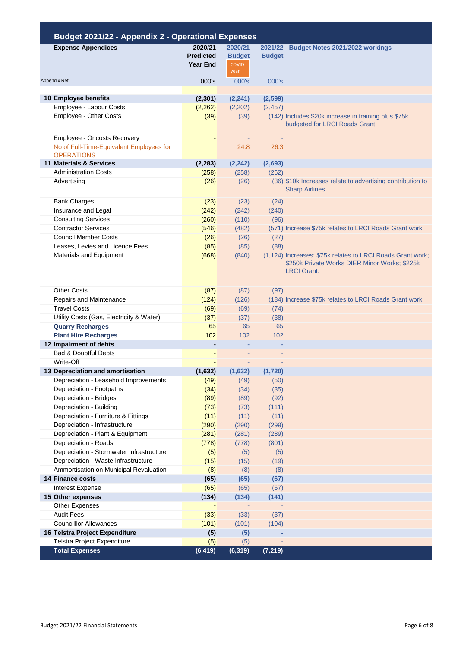| <b>Budget 2021/22 - Appendix 2 - Operational Expenses</b>     |                                                |                                                  |                          |                                                                                                                                   |
|---------------------------------------------------------------|------------------------------------------------|--------------------------------------------------|--------------------------|-----------------------------------------------------------------------------------------------------------------------------------|
| <b>Expense Appendices</b>                                     | 2020/21<br><b>Predicted</b><br><b>Year End</b> | 2020/21<br><b>Budget</b><br><b>COVID</b><br>year | 2021/22<br><b>Budget</b> | <b>Budget Notes 2021/2022 workings</b>                                                                                            |
| Appendix Ref.                                                 | 000's                                          | 000's                                            | 000's                    |                                                                                                                                   |
|                                                               |                                                |                                                  |                          |                                                                                                                                   |
| 10 Employee benefits                                          | (2,301)                                        | (2, 241)                                         | (2,599)                  |                                                                                                                                   |
| Employee - Labour Costs                                       | (2,262)                                        | (2,202)                                          | (2, 457)                 |                                                                                                                                   |
| Employee - Other Costs                                        | (39)                                           | (39)                                             |                          | (142) Includes \$20k increase in training plus \$75k<br>budgeted for LRCI Roads Grant.                                            |
| Employee - Oncosts Recovery                                   |                                                |                                                  |                          |                                                                                                                                   |
| No of Full-Time-Equivalent Employees for<br><b>OPERATIONS</b> |                                                | 24.8                                             | 26.3                     |                                                                                                                                   |
| 11 Materials & Services                                       | (2, 283)                                       | (2, 242)                                         | (2,693)                  |                                                                                                                                   |
| <b>Administration Costs</b>                                   | (258)                                          | (258)                                            | (262)                    |                                                                                                                                   |
| Advertising                                                   | (26)                                           | (26)                                             |                          | (36) \$10k Increases relate to advertising contribution to<br><b>Sharp Airlines.</b>                                              |
| <b>Bank Charges</b>                                           | (23)                                           | (23)                                             | (24)                     |                                                                                                                                   |
| Insurance and Legal                                           | (242)                                          | (242)                                            | (240)                    |                                                                                                                                   |
| <b>Consulting Services</b>                                    | (260)                                          | (110)                                            | (96)                     |                                                                                                                                   |
| <b>Contractor Services</b>                                    | (546)                                          | (482)                                            |                          | (571) Increase \$75k relates to LRCI Roads Grant work.                                                                            |
| <b>Council Member Costs</b>                                   | (26)                                           | (26)                                             | (27)                     |                                                                                                                                   |
| Leases, Levies and Licence Fees                               | (85)                                           | (85)                                             | (88)                     |                                                                                                                                   |
| Materials and Equipment                                       | (668)                                          | (840)                                            |                          | (1,124) Increases: \$75k relates to LRCI Roads Grant work;<br>\$250k Private Works DIER Minor Works; \$225k<br><b>LRCI</b> Grant. |
| <b>Other Costs</b>                                            | (87)                                           | (87)                                             | (97)                     |                                                                                                                                   |
| Repairs and Maintenance                                       | (124)                                          | (126)                                            |                          | (184) Increase \$75k relates to LRCI Roads Grant work.                                                                            |
| <b>Travel Costs</b>                                           | (69)                                           | (69)                                             | (74)                     |                                                                                                                                   |
| Utility Costs (Gas, Electricity & Water)                      | (37)                                           | (37)                                             | (38)                     |                                                                                                                                   |
| <b>Quarry Recharges</b>                                       | 65                                             | 65                                               | 65                       |                                                                                                                                   |
| <b>Plant Hire Recharges</b>                                   | 102                                            | 102                                              | 102                      |                                                                                                                                   |
| 12 Impairment of debts                                        | $\overline{\phantom{a}}$                       |                                                  |                          |                                                                                                                                   |
| <b>Bad &amp; Doubtful Debts</b>                               |                                                |                                                  |                          |                                                                                                                                   |
| Write-Off                                                     |                                                |                                                  |                          |                                                                                                                                   |
| 13 Depreciation and amortisation                              | (1,632)                                        | (1,632)                                          | (1,720)                  |                                                                                                                                   |
| Depreciation - Leasehold Improvements                         | (49)                                           | (49)                                             | (50)                     |                                                                                                                                   |
| Depreciation - Footpaths                                      | (34)                                           | (34)                                             | (35)                     |                                                                                                                                   |
| Depreciation - Bridges<br>Depreciation - Building             | (89)                                           | (89)<br>(73)                                     | (92)<br>(111)            |                                                                                                                                   |
| Depreciation - Furniture & Fittings                           | (73)<br>(11)                                   | (11)                                             | (11)                     |                                                                                                                                   |
| Depreciation - Infrastructure                                 | (290)                                          | (290)                                            | (299)                    |                                                                                                                                   |
| Depreciation - Plant & Equipment                              | (281)                                          | (281)                                            | (289)                    |                                                                                                                                   |
| Depreciation - Roads                                          | (778)                                          | (778)                                            | (801)                    |                                                                                                                                   |
| Depreciation - Stormwater Infrastructure                      | (5)                                            | (5)                                              | (5)                      |                                                                                                                                   |
| Depreciation - Waste Infrastructure                           | (15)                                           | (15)                                             | (19)                     |                                                                                                                                   |
| Ammortisation on Municipal Revaluation                        | (8)                                            | (8)                                              | (8)                      |                                                                                                                                   |
| <b>14 Finance costs</b>                                       | (65)                                           | (65)                                             | (67)                     |                                                                                                                                   |
| <b>Interest Expense</b>                                       | (65)                                           | (65)                                             | (67)                     |                                                                                                                                   |
| 15 Other expenses                                             | (134)                                          | (134)                                            | (141)                    |                                                                                                                                   |
| Other Expenses                                                |                                                |                                                  |                          |                                                                                                                                   |
| <b>Audit Fees</b>                                             | (33)                                           | (33)                                             | (37)                     |                                                                                                                                   |
| <b>Councilllor Allowances</b>                                 | (101)                                          | (101)                                            | (104)                    |                                                                                                                                   |
| 16 Telstra Project Expenditure                                | (5)                                            | (5)                                              |                          |                                                                                                                                   |
| Telstra Project Expenditure                                   | (5)                                            | (5)                                              |                          |                                                                                                                                   |
| <b>Total Expenses</b>                                         | (6, 419)                                       | (6, 319)                                         | (7, 219)                 |                                                                                                                                   |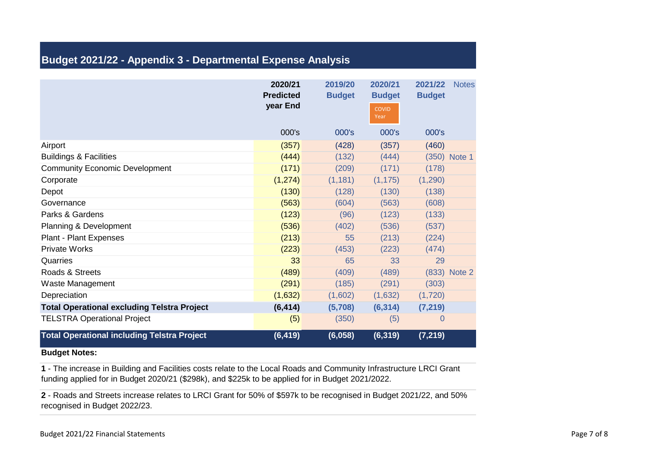## **Budget 2021/22 - Appendix 3 - Departmental Expense Analysis**

|                                                    | 2020/21<br><b>Predicted</b><br>year End | 2019/20<br><b>Budget</b> | 2020/21<br><b>Budget</b><br><b>COVID</b><br>Year | 2021/22<br><b>Budget</b> | <b>Notes</b> |
|----------------------------------------------------|-----------------------------------------|--------------------------|--------------------------------------------------|--------------------------|--------------|
|                                                    | 000's                                   | 000's                    | 000's                                            | 000's                    |              |
| Airport                                            | (357)                                   | (428)                    | (357)                                            | (460)                    |              |
| <b>Buildings &amp; Facilities</b>                  | (444)                                   | (132)                    | (444)                                            |                          | (350) Note 1 |
| <b>Community Economic Development</b>              | (171)                                   | (209)                    | (171)                                            | (178)                    |              |
| Corporate                                          | (1, 274)                                | (1, 181)                 | (1, 175)                                         | (1,290)                  |              |
| Depot                                              | (130)                                   | (128)                    | (130)                                            | (138)                    |              |
| Governance                                         | (563)                                   | (604)                    | (563)                                            | (608)                    |              |
| Parks & Gardens                                    | (123)                                   | (96)                     | (123)                                            | (133)                    |              |
| Planning & Development                             | (536)                                   | (402)                    | (536)                                            | (537)                    |              |
| <b>Plant - Plant Expenses</b>                      | (213)                                   | 55                       | (213)                                            | (224)                    |              |
| <b>Private Works</b>                               | (223)                                   | (453)                    | (223)                                            | (474)                    |              |
| Quarries                                           | 33                                      | 65                       | 33                                               | 29                       |              |
| Roads & Streets                                    | (489)                                   | (409)                    | (489)                                            |                          | (833) Note 2 |
| Waste Management                                   | (291)                                   | (185)                    | (291)                                            | (303)                    |              |
| Depreciation                                       | (1,632)                                 | (1,602)                  | (1,632)                                          | (1,720)                  |              |
| <b>Total Operational excluding Telstra Project</b> | (6, 414)                                | (5,708)                  | (6, 314)                                         | (7, 219)                 |              |
| <b>TELSTRA Operational Project</b>                 | (5)                                     | (350)                    | (5)                                              | 0                        |              |
| <b>Total Operational including Telstra Project</b> | (6, 419)                                | (6,058)                  | (6, 319)                                         | (7, 219)                 |              |

#### **Budget Notes:**

**1** - The increase in Building and Facilities costs relate to the Local Roads and Community Infrastructure LRCI Grant funding applied for in Budget 2020/21 (\$298k), and \$225k to be applied for in Budget 2021/2022.

**2** - Roads and Streets increase relates to LRCI Grant for 50% of \$597k to be recognised in Budget 2021/22, and 50% recognised in Budget 2022/23.